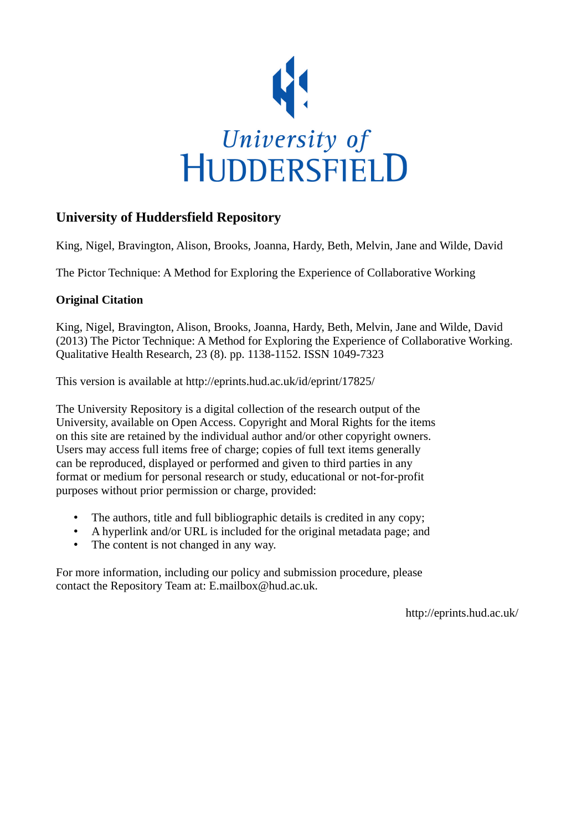

# **University of Huddersfield Repository**

King, Nigel, Bravington, Alison, Brooks, Joanna, Hardy, Beth, Melvin, Jane and Wilde, David

The Pictor Technique: A Method for Exploring the Experience of Collaborative Working

## **Original Citation**

King, Nigel, Bravington, Alison, Brooks, Joanna, Hardy, Beth, Melvin, Jane and Wilde, David (2013) The Pictor Technique: A Method for Exploring the Experience of Collaborative Working. Qualitative Health Research, 23 (8). pp. 1138-1152. ISSN 1049-7323

This version is available at http://eprints.hud.ac.uk/id/eprint/17825/

The University Repository is a digital collection of the research output of the University, available on Open Access. Copyright and Moral Rights for the items on this site are retained by the individual author and/or other copyright owners. Users may access full items free of charge; copies of full text items generally can be reproduced, displayed or performed and given to third parties in any format or medium for personal research or study, educational or not-for-profit purposes without prior permission or charge, provided:

- The authors, title and full bibliographic details is credited in any copy;
- A hyperlink and/or URL is included for the original metadata page; and
- The content is not changed in any way.

For more information, including our policy and submission procedure, please contact the Repository Team at: E.mailbox@hud.ac.uk.

http://eprints.hud.ac.uk/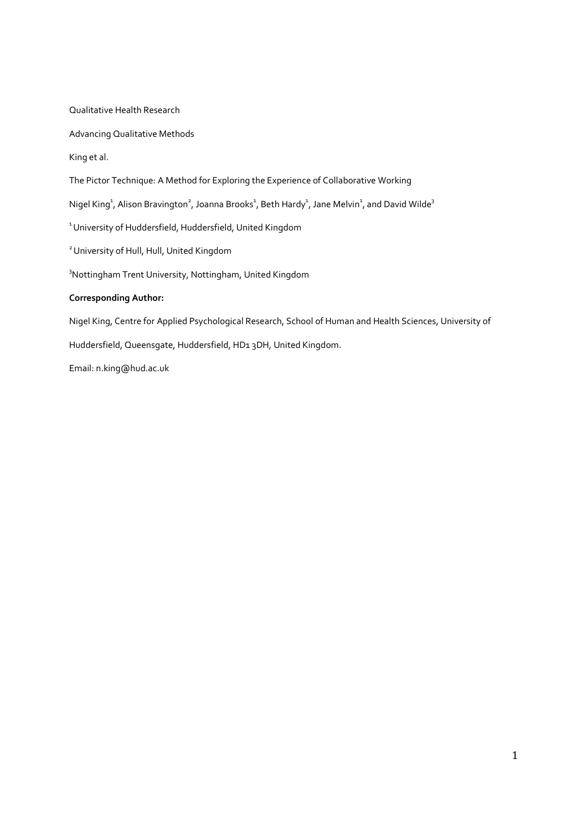Qualitative Health Research

Advancing Qualitative Methods

King et al.

The Pictor Technique: A Method for Exploring the Experience of Collaborative Working

Nigel King<sup>1</sup>, Alison Bravington<sup>2</sup>, Joanna Brooks<sup>1</sup>, Beth Hardy<sup>1</sup>, Jane Melvin<sup>1</sup>, and David Wilde<sup>3</sup>

<sup>1</sup> University of Huddersfield, Huddersfield, United Kingdom

<sup>2</sup> University of Hull, Hull, United Kingdom

<sup>3</sup>Nottingham Trent University, Nottingham, United Kingdom

### Corresponding Author:

Nigel King, Centre for Applied Psychological Research, School of Human and Health Sciences, University of Huddersfield, Queensgate, Huddersfield, HD1 3DH, United Kingdom.

Email: n.king@hud.ac.uk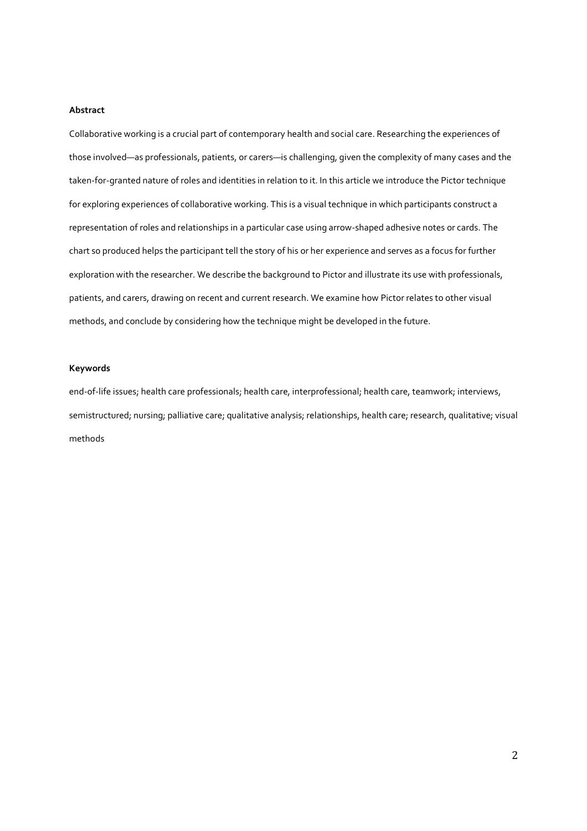#### Abstract

Collaborative working is a crucial part of contemporary health and social care. Researching the experiences of those involved—as professionals, patients, or carers—is challenging, given the complexity of many cases and the taken-for-granted nature of roles and identities in relation to it. In this article we introduce the Pictor technique for exploring experiences of collaborative working. This is a visual technique in which participants construct a representation of roles and relationships in a particular case using arrow-shaped adhesive notes or cards. The chart so produced helps the participant tell the story of his or her experience and serves as a focus for further exploration with the researcher. We describe the background to Pictor and illustrate its use with professionals, patients, and carers, drawing on recent and current research. We examine how Pictor relates to other visual methods, and conclude by considering how the technique might be developed in the future.

#### Keywords

end-of-life issues; health care professionals; health care, interprofessional; health care, teamwork; interviews, semistructured; nursing; palliative care; qualitative analysis; relationships, health care; research, qualitative; visual methods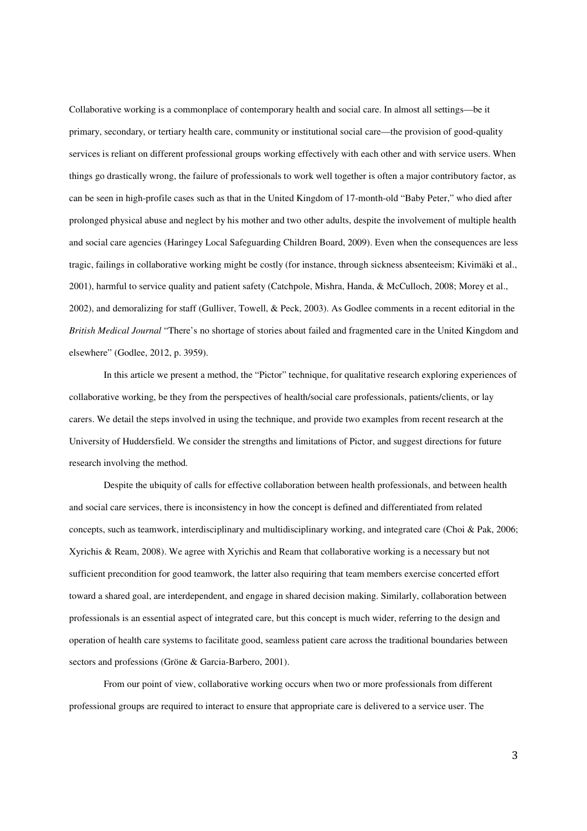Collaborative working is a commonplace of contemporary health and social care. In almost all settings—be it primary, secondary, or tertiary health care, community or institutional social care—the provision of good-quality services is reliant on different professional groups working effectively with each other and with service users. When things go drastically wrong, the failure of professionals to work well together is often a major contributory factor, as can be seen in high-profile cases such as that in the United Kingdom of 17-month-old "Baby Peter," who died after prolonged physical abuse and neglect by his mother and two other adults, despite the involvement of multiple health and social care agencies (Haringey Local Safeguarding Children Board, 2009). Even when the consequences are less tragic, failings in collaborative working might be costly (for instance, through sickness absenteeism; Kivimäki et al., 2001), harmful to service quality and patient safety (Catchpole, Mishra, Handa, & McCulloch, 2008; Morey et al., 2002), and demoralizing for staff (Gulliver, Towell, & Peck, 2003). As Godlee comments in a recent editorial in the *British Medical Journal* "There's no shortage of stories about failed and fragmented care in the United Kingdom and elsewhere" (Godlee, 2012, p. 3959).

In this article we present a method, the "Pictor" technique, for qualitative research exploring experiences of collaborative working, be they from the perspectives of health/social care professionals, patients/clients, or lay carers. We detail the steps involved in using the technique, and provide two examples from recent research at the University of Huddersfield. We consider the strengths and limitations of Pictor, and suggest directions for future research involving the method.

Despite the ubiquity of calls for effective collaboration between health professionals, and between health and social care services, there is inconsistency in how the concept is defined and differentiated from related concepts, such as teamwork, interdisciplinary and multidisciplinary working, and integrated care (Choi & Pak, 2006; Xyrichis & Ream, 2008). We agree with Xyrichis and Ream that collaborative working is a necessary but not sufficient precondition for good teamwork, the latter also requiring that team members exercise concerted effort toward a shared goal, are interdependent, and engage in shared decision making. Similarly, collaboration between professionals is an essential aspect of integrated care, but this concept is much wider, referring to the design and operation of health care systems to facilitate good, seamless patient care across the traditional boundaries between sectors and professions (Gröne & Garcia-Barbero, 2001).

From our point of view, collaborative working occurs when two or more professionals from different professional groups are required to interact to ensure that appropriate care is delivered to a service user. The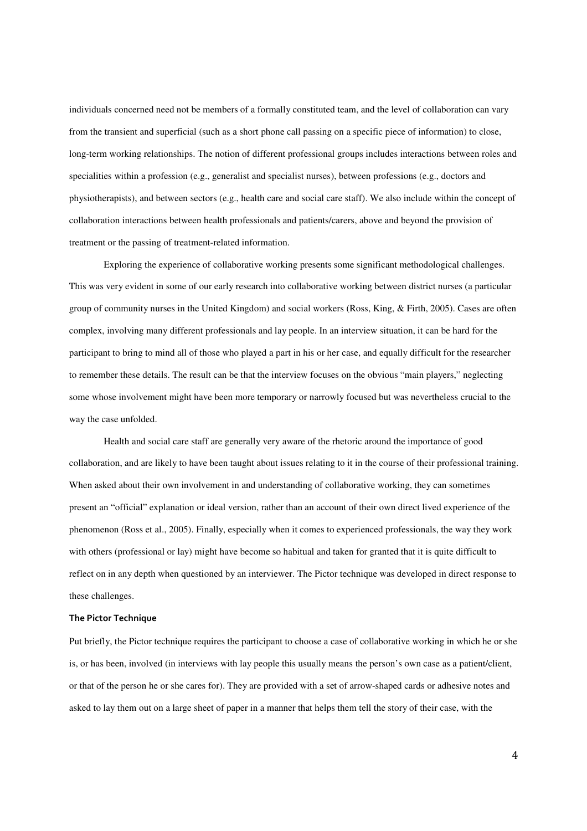individuals concerned need not be members of a formally constituted team, and the level of collaboration can vary from the transient and superficial (such as a short phone call passing on a specific piece of information) to close, long-term working relationships. The notion of different professional groups includes interactions between roles and specialities within a profession (e.g., generalist and specialist nurses), between professions (e.g., doctors and physiotherapists), and between sectors (e.g., health care and social care staff). We also include within the concept of collaboration interactions between health professionals and patients/carers, above and beyond the provision of treatment or the passing of treatment-related information.

Exploring the experience of collaborative working presents some significant methodological challenges. This was very evident in some of our early research into collaborative working between district nurses (a particular group of community nurses in the United Kingdom) and social workers (Ross, King, & Firth, 2005). Cases are often complex, involving many different professionals and lay people. In an interview situation, it can be hard for the participant to bring to mind all of those who played a part in his or her case, and equally difficult for the researcher to remember these details. The result can be that the interview focuses on the obvious "main players," neglecting some whose involvement might have been more temporary or narrowly focused but was nevertheless crucial to the way the case unfolded.

Health and social care staff are generally very aware of the rhetoric around the importance of good collaboration, and are likely to have been taught about issues relating to it in the course of their professional training. When asked about their own involvement in and understanding of collaborative working, they can sometimes present an "official" explanation or ideal version, rather than an account of their own direct lived experience of the phenomenon (Ross et al., 2005). Finally, especially when it comes to experienced professionals, the way they work with others (professional or lay) might have become so habitual and taken for granted that it is quite difficult to reflect on in any depth when questioned by an interviewer. The Pictor technique was developed in direct response to these challenges.

#### The Pictor Technique

Put briefly, the Pictor technique requires the participant to choose a case of collaborative working in which he or she is, or has been, involved (in interviews with lay people this usually means the person's own case as a patient/client, or that of the person he or she cares for). They are provided with a set of arrow-shaped cards or adhesive notes and asked to lay them out on a large sheet of paper in a manner that helps them tell the story of their case, with the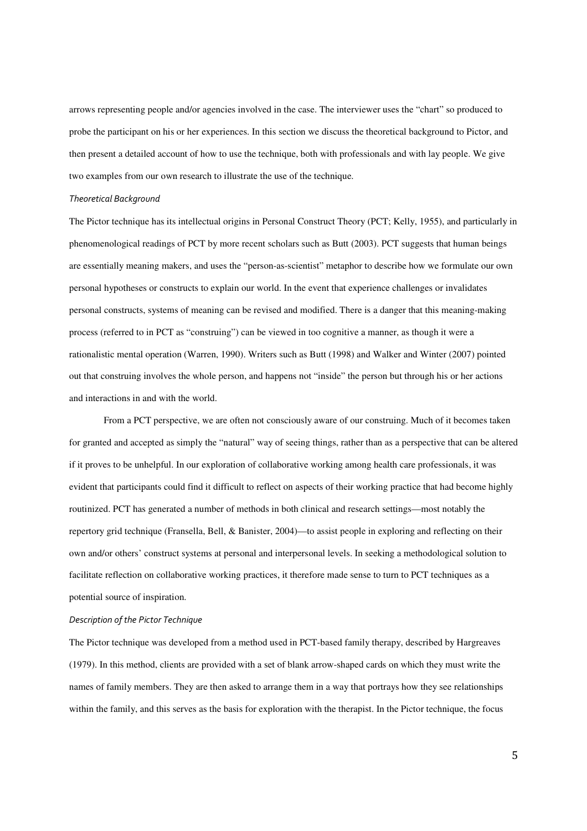arrows representing people and/or agencies involved in the case. The interviewer uses the "chart" so produced to probe the participant on his or her experiences. In this section we discuss the theoretical background to Pictor, and then present a detailed account of how to use the technique, both with professionals and with lay people. We give two examples from our own research to illustrate the use of the technique.

#### Theoretical Background

The Pictor technique has its intellectual origins in Personal Construct Theory (PCT; Kelly, 1955), and particularly in phenomenological readings of PCT by more recent scholars such as Butt (2003). PCT suggests that human beings are essentially meaning makers, and uses the "person-as-scientist" metaphor to describe how we formulate our own personal hypotheses or constructs to explain our world. In the event that experience challenges or invalidates personal constructs, systems of meaning can be revised and modified. There is a danger that this meaning-making process (referred to in PCT as "construing") can be viewed in too cognitive a manner, as though it were a rationalistic mental operation (Warren, 1990). Writers such as Butt (1998) and Walker and Winter (2007) pointed out that construing involves the whole person, and happens not "inside" the person but through his or her actions and interactions in and with the world.

From a PCT perspective, we are often not consciously aware of our construing. Much of it becomes taken for granted and accepted as simply the "natural" way of seeing things, rather than as a perspective that can be altered if it proves to be unhelpful. In our exploration of collaborative working among health care professionals, it was evident that participants could find it difficult to reflect on aspects of their working practice that had become highly routinized. PCT has generated a number of methods in both clinical and research settings—most notably the repertory grid technique (Fransella, Bell, & Banister, 2004)—to assist people in exploring and reflecting on their own and/or others' construct systems at personal and interpersonal levels. In seeking a methodological solution to facilitate reflection on collaborative working practices, it therefore made sense to turn to PCT techniques as a potential source of inspiration.

#### Description of the Pictor Technique

The Pictor technique was developed from a method used in PCT-based family therapy, described by Hargreaves (1979). In this method, clients are provided with a set of blank arrow-shaped cards on which they must write the names of family members. They are then asked to arrange them in a way that portrays how they see relationships within the family, and this serves as the basis for exploration with the therapist. In the Pictor technique, the focus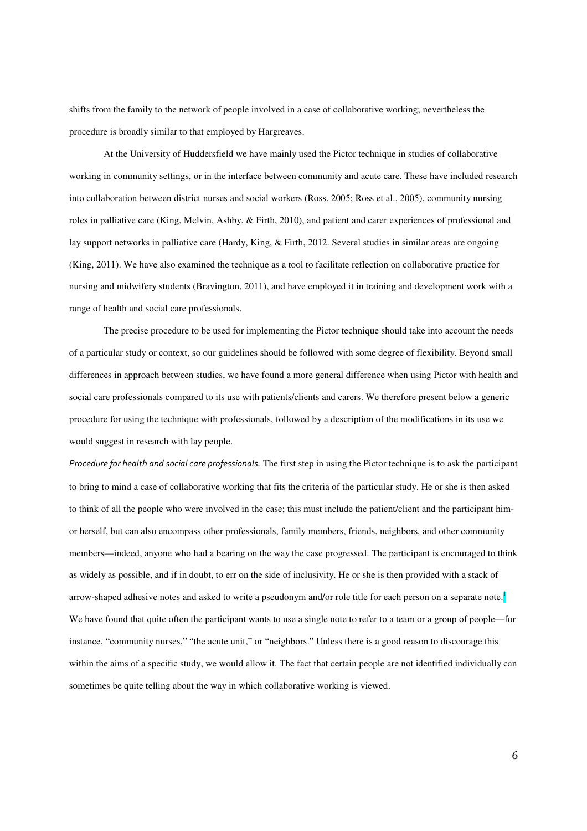shifts from the family to the network of people involved in a case of collaborative working; nevertheless the procedure is broadly similar to that employed by Hargreaves.

At the University of Huddersfield we have mainly used the Pictor technique in studies of collaborative working in community settings, or in the interface between community and acute care. These have included research into collaboration between district nurses and social workers (Ross, 2005; Ross et al., 2005), community nursing roles in palliative care (King, Melvin, Ashby, & Firth, 2010), and patient and carer experiences of professional and lay support networks in palliative care (Hardy, King, & Firth, 2012. Several studies in similar areas are ongoing (King, 2011). We have also examined the technique as a tool to facilitate reflection on collaborative practice for nursing and midwifery students (Bravington, 2011), and have employed it in training and development work with a range of health and social care professionals.

The precise procedure to be used for implementing the Pictor technique should take into account the needs of a particular study or context, so our guidelines should be followed with some degree of flexibility. Beyond small differences in approach between studies, we have found a more general difference when using Pictor with health and social care professionals compared to its use with patients/clients and carers. We therefore present below a generic procedure for using the technique with professionals, followed by a description of the modifications in its use we would suggest in research with lay people.

Procedure for health and social care professionals. The first step in using the Pictor technique is to ask the participant to bring to mind a case of collaborative working that fits the criteria of the particular study. He or she is then asked to think of all the people who were involved in the case; this must include the patient/client and the participant himor herself, but can also encompass other professionals, family members, friends, neighbors, and other community members—indeed, anyone who had a bearing on the way the case progressed. The participant is encouraged to think as widely as possible, and if in doubt, to err on the side of inclusivity. He or she is then provided with a stack of arrow-shaped adhesive notes and asked to write a pseudonym and/or role title for each person on a separate note.<sup>1</sup> We have found that quite often the participant wants to use a single note to refer to a team or a group of people—for instance, "community nurses," "the acute unit," or "neighbors." Unless there is a good reason to discourage this within the aims of a specific study, we would allow it. The fact that certain people are not identified individually can sometimes be quite telling about the way in which collaborative working is viewed.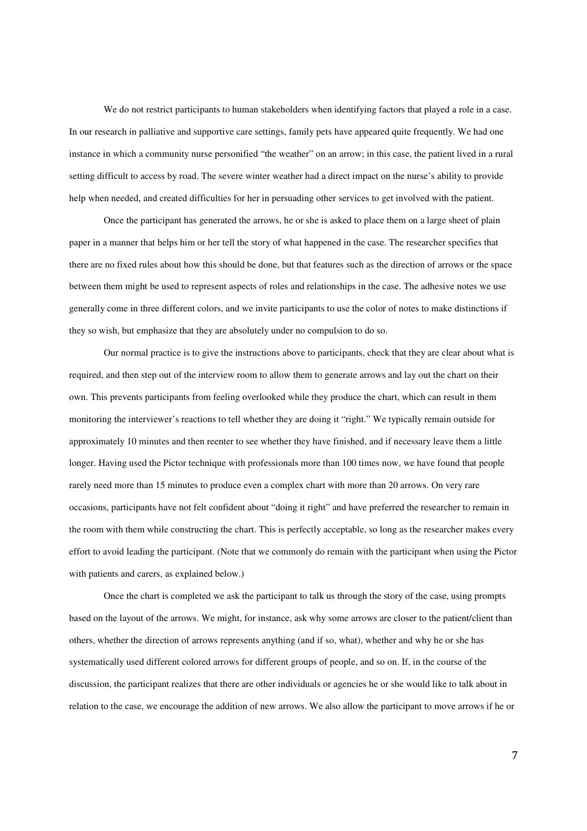We do not restrict participants to human stakeholders when identifying factors that played a role in a case. In our research in palliative and supportive care settings, family pets have appeared quite frequently. We had one instance in which a community nurse personified "the weather" on an arrow; in this case, the patient lived in a rural setting difficult to access by road. The severe winter weather had a direct impact on the nurse's ability to provide help when needed, and created difficulties for her in persuading other services to get involved with the patient.

Once the participant has generated the arrows, he or she is asked to place them on a large sheet of plain paper in a manner that helps him or her tell the story of what happened in the case. The researcher specifies that there are no fixed rules about how this should be done, but that features such as the direction of arrows or the space between them might be used to represent aspects of roles and relationships in the case. The adhesive notes we use generally come in three different colors, and we invite participants to use the color of notes to make distinctions if they so wish, but emphasize that they are absolutely under no compulsion to do so.

Our normal practice is to give the instructions above to participants, check that they are clear about what is required, and then step out of the interview room to allow them to generate arrows and lay out the chart on their own. This prevents participants from feeling overlooked while they produce the chart, which can result in them monitoring the interviewer's reactions to tell whether they are doing it "right." We typically remain outside for approximately 10 minutes and then reenter to see whether they have finished, and if necessary leave them a little longer. Having used the Pictor technique with professionals more than 100 times now, we have found that people rarely need more than 15 minutes to produce even a complex chart with more than 20 arrows. On very rare occasions, participants have not felt confident about "doing it right" and have preferred the researcher to remain in the room with them while constructing the chart. This is perfectly acceptable, so long as the researcher makes every effort to avoid leading the participant. (Note that we commonly do remain with the participant when using the Pictor with patients and carers, as explained below.)

Once the chart is completed we ask the participant to talk us through the story of the case, using prompts based on the layout of the arrows. We might, for instance, ask why some arrows are closer to the patient/client than others, whether the direction of arrows represents anything (and if so, what), whether and why he or she has systematically used different colored arrows for different groups of people, and so on. If, in the course of the discussion, the participant realizes that there are other individuals or agencies he or she would like to talk about in relation to the case, we encourage the addition of new arrows. We also allow the participant to move arrows if he or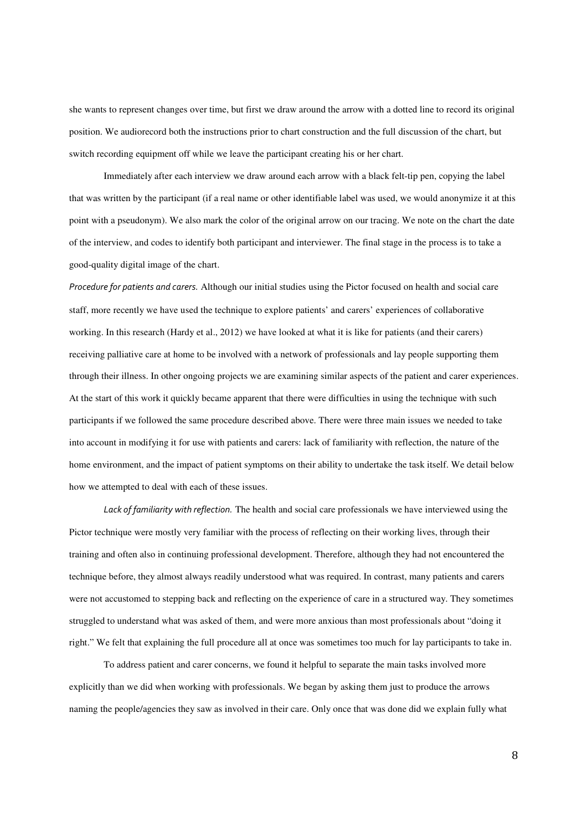she wants to represent changes over time, but first we draw around the arrow with a dotted line to record its original position. We audiorecord both the instructions prior to chart construction and the full discussion of the chart, but switch recording equipment off while we leave the participant creating his or her chart.

Immediately after each interview we draw around each arrow with a black felt-tip pen, copying the label that was written by the participant (if a real name or other identifiable label was used, we would anonymize it at this point with a pseudonym). We also mark the color of the original arrow on our tracing. We note on the chart the date of the interview, and codes to identify both participant and interviewer. The final stage in the process is to take a good-quality digital image of the chart.

Procedure for patients and carers. Although our initial studies using the Pictor focused on health and social care staff, more recently we have used the technique to explore patients' and carers' experiences of collaborative working. In this research (Hardy et al., 2012) we have looked at what it is like for patients (and their carers) receiving palliative care at home to be involved with a network of professionals and lay people supporting them through their illness. In other ongoing projects we are examining similar aspects of the patient and carer experiences. At the start of this work it quickly became apparent that there were difficulties in using the technique with such participants if we followed the same procedure described above. There were three main issues we needed to take into account in modifying it for use with patients and carers: lack of familiarity with reflection, the nature of the home environment, and the impact of patient symptoms on their ability to undertake the task itself. We detail below how we attempted to deal with each of these issues.

Lack of familiarity with reflection. The health and social care professionals we have interviewed using the Pictor technique were mostly very familiar with the process of reflecting on their working lives, through their training and often also in continuing professional development. Therefore, although they had not encountered the technique before, they almost always readily understood what was required. In contrast, many patients and carers were not accustomed to stepping back and reflecting on the experience of care in a structured way. They sometimes struggled to understand what was asked of them, and were more anxious than most professionals about "doing it right." We felt that explaining the full procedure all at once was sometimes too much for lay participants to take in.

To address patient and carer concerns, we found it helpful to separate the main tasks involved more explicitly than we did when working with professionals. We began by asking them just to produce the arrows naming the people/agencies they saw as involved in their care. Only once that was done did we explain fully what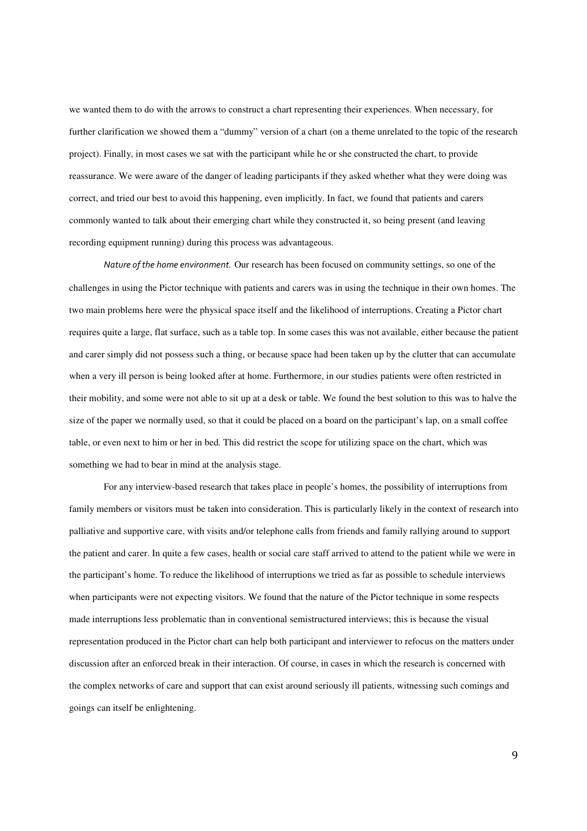we wanted them to do with the arrows to construct a chart representing their experiences. When necessary, for further clarification we showed them a "dummy" version of a chart (on a theme unrelated to the topic of the research project). Finally, in most cases we sat with the participant while he or she constructed the chart, to provide reassurance. We were aware of the danger of leading participants if they asked whether what they were doing was correct, and tried our best to avoid this happening, even implicitly. In fact, we found that patients and carers commonly wanted to talk about their emerging chart while they constructed it, so being present (and leaving recording equipment running) during this process was advantageous.

Nature of the home environment. Our research has been focused on community settings, so one of the challenges in using the Pictor technique with patients and carers was in using the technique in their own homes. The two main problems here were the physical space itself and the likelihood of interruptions. Creating a Pictor chart requires quite a large, flat surface, such as a table top. In some cases this was not available, either because the patient and carer simply did not possess such a thing, or because space had been taken up by the clutter that can accumulate when a very ill person is being looked after at home. Furthermore, in our studies patients were often restricted in their mobility, and some were not able to sit up at a desk or table. We found the best solution to this was to halve the size of the paper we normally used, so that it could be placed on a board on the participant's lap, on a small coffee table, or even next to him or her in bed. This did restrict the scope for utilizing space on the chart, which was something we had to bear in mind at the analysis stage.

For any interview-based research that takes place in people's homes, the possibility of interruptions from family members or visitors must be taken into consideration. This is particularly likely in the context of research into palliative and supportive care, with visits and/or telephone calls from friends and family rallying around to support the patient and carer. In quite a few cases, health or social care staff arrived to attend to the patient while we were in the participant's home. To reduce the likelihood of interruptions we tried as far as possible to schedule interviews when participants were not expecting visitors. We found that the nature of the Pictor technique in some respects made interruptions less problematic than in conventional semistructured interviews; this is because the visual representation produced in the Pictor chart can help both participant and interviewer to refocus on the matters under discussion after an enforced break in their interaction. Of course, in cases in which the research is concerned with the complex networks of care and support that can exist around seriously ill patients, witnessing such comings and goings can itself be enlightening.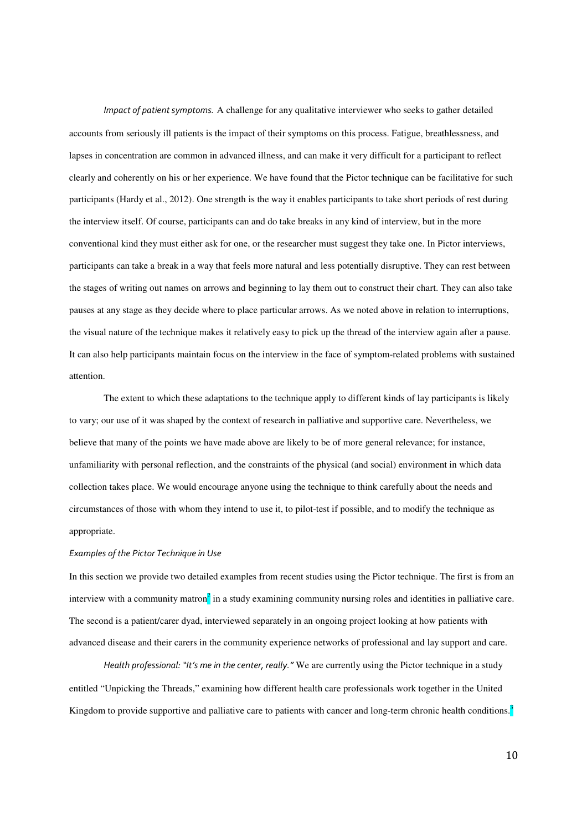Impact of patient symptoms. A challenge for any qualitative interviewer who seeks to gather detailed accounts from seriously ill patients is the impact of their symptoms on this process. Fatigue, breathlessness, and lapses in concentration are common in advanced illness, and can make it very difficult for a participant to reflect clearly and coherently on his or her experience. We have found that the Pictor technique can be facilitative for such participants (Hardy et al., 2012). One strength is the way it enables participants to take short periods of rest during the interview itself. Of course, participants can and do take breaks in any kind of interview, but in the more conventional kind they must either ask for one, or the researcher must suggest they take one. In Pictor interviews, participants can take a break in a way that feels more natural and less potentially disruptive. They can rest between the stages of writing out names on arrows and beginning to lay them out to construct their chart. They can also take pauses at any stage as they decide where to place particular arrows. As we noted above in relation to interruptions, the visual nature of the technique makes it relatively easy to pick up the thread of the interview again after a pause. It can also help participants maintain focus on the interview in the face of symptom-related problems with sustained attention.

The extent to which these adaptations to the technique apply to different kinds of lay participants is likely to vary; our use of it was shaped by the context of research in palliative and supportive care. Nevertheless, we believe that many of the points we have made above are likely to be of more general relevance; for instance, unfamiliarity with personal reflection, and the constraints of the physical (and social) environment in which data collection takes place. We would encourage anyone using the technique to think carefully about the needs and circumstances of those with whom they intend to use it, to pilot-test if possible, and to modify the technique as appropriate.

#### Examples of the Pictor Technique in Use

In this section we provide two detailed examples from recent studies using the Pictor technique. The first is from an interview with a community matron<sup>2</sup> in a study examining community nursing roles and identities in palliative care. The second is a patient/carer dyad, interviewed separately in an ongoing project looking at how patients with advanced disease and their carers in the community experience networks of professional and lay support and care.

Health professional: "It's me in the center, really." We are currently using the Pictor technique in a study entitled "Unpicking the Threads," examining how different health care professionals work together in the United Kingdom to provide supportive and palliative care to patients with cancer and long-term chronic health conditions.<sup>3</sup>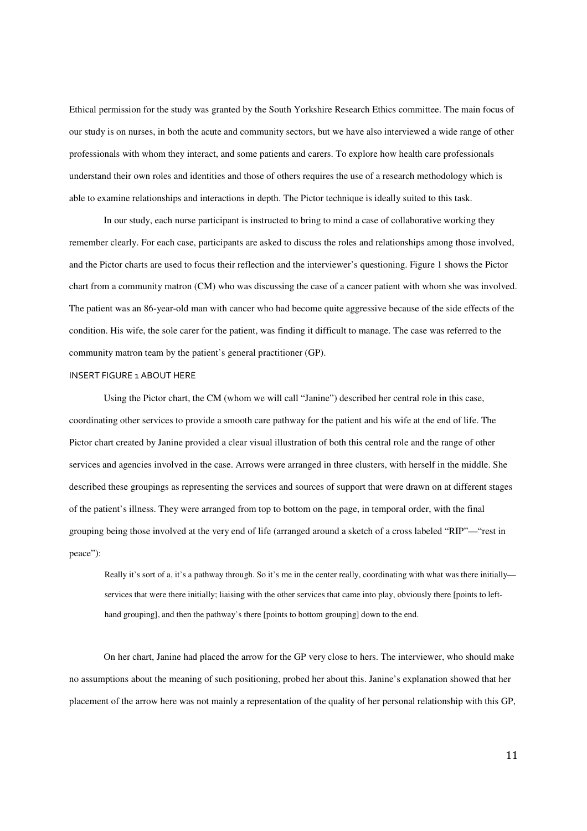Ethical permission for the study was granted by the South Yorkshire Research Ethics committee. The main focus of our study is on nurses, in both the acute and community sectors, but we have also interviewed a wide range of other professionals with whom they interact, and some patients and carers. To explore how health care professionals understand their own roles and identities and those of others requires the use of a research methodology which is able to examine relationships and interactions in depth. The Pictor technique is ideally suited to this task.

In our study, each nurse participant is instructed to bring to mind a case of collaborative working they remember clearly. For each case, participants are asked to discuss the roles and relationships among those involved, and the Pictor charts are used to focus their reflection and the interviewer's questioning. Figure 1 shows the Pictor chart from a community matron (CM) who was discussing the case of a cancer patient with whom she was involved. The patient was an 86-year-old man with cancer who had become quite aggressive because of the side effects of the condition. His wife, the sole carer for the patient, was finding it difficult to manage. The case was referred to the community matron team by the patient's general practitioner (GP).

#### INSERT FIGURE 1 ABOUT HERE

Using the Pictor chart, the CM (whom we will call "Janine") described her central role in this case, coordinating other services to provide a smooth care pathway for the patient and his wife at the end of life. The Pictor chart created by Janine provided a clear visual illustration of both this central role and the range of other services and agencies involved in the case. Arrows were arranged in three clusters, with herself in the middle. She described these groupings as representing the services and sources of support that were drawn on at different stages of the patient's illness. They were arranged from top to bottom on the page, in temporal order, with the final grouping being those involved at the very end of life (arranged around a sketch of a cross labeled "RIP"—"rest in peace"):

Really it's sort of a, it's a pathway through. So it's me in the center really, coordinating with what was there initially services that were there initially; liaising with the other services that came into play, obviously there [points to lefthand grouping], and then the pathway's there [points to bottom grouping] down to the end.

On her chart, Janine had placed the arrow for the GP very close to hers. The interviewer, who should make no assumptions about the meaning of such positioning, probed her about this. Janine's explanation showed that her placement of the arrow here was not mainly a representation of the quality of her personal relationship with this GP,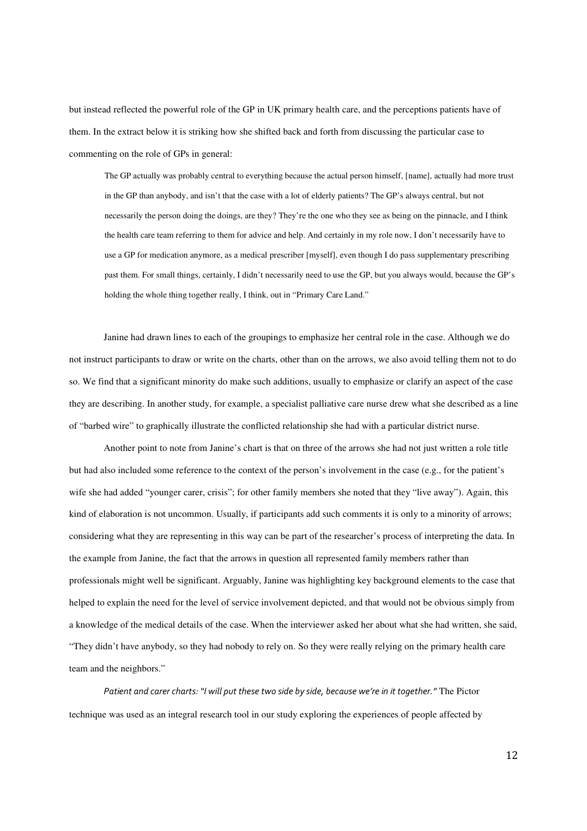but instead reflected the powerful role of the GP in UK primary health care, and the perceptions patients have of them. In the extract below it is striking how she shifted back and forth from discussing the particular case to commenting on the role of GPs in general:

The GP actually was probably central to everything because the actual person himself, [name], actually had more trust in the GP than anybody, and isn't that the case with a lot of elderly patients? The GP's always central, but not necessarily the person doing the doings, are they? They're the one who they see as being on the pinnacle, and I think the health care team referring to them for advice and help. And certainly in my role now, I don't necessarily have to use a GP for medication anymore, as a medical prescriber [myself], even though I do pass supplementary prescribing past them. For small things, certainly, I didn't necessarily need to use the GP, but you always would, because the GP's holding the whole thing together really, I think, out in "Primary Care Land."

Janine had drawn lines to each of the groupings to emphasize her central role in the case. Although we do not instruct participants to draw or write on the charts, other than on the arrows, we also avoid telling them not to do so. We find that a significant minority do make such additions, usually to emphasize or clarify an aspect of the case they are describing. In another study, for example, a specialist palliative care nurse drew what she described as a line of "barbed wire" to graphically illustrate the conflicted relationship she had with a particular district nurse.

Another point to note from Janine's chart is that on three of the arrows she had not just written a role title but had also included some reference to the context of the person's involvement in the case (e.g., for the patient's wife she had added "younger carer, crisis"; for other family members she noted that they "live away"). Again, this kind of elaboration is not uncommon. Usually, if participants add such comments it is only to a minority of arrows; considering what they are representing in this way can be part of the researcher's process of interpreting the data. In the example from Janine, the fact that the arrows in question all represented family members rather than professionals might well be significant. Arguably, Janine was highlighting key background elements to the case that helped to explain the need for the level of service involvement depicted, and that would not be obvious simply from a knowledge of the medical details of the case. When the interviewer asked her about what she had written, she said, "They didn't have anybody, so they had nobody to rely on. So they were really relying on the primary health care team and the neighbors."

Patient and carer charts: "I will put these two side by side, because we're in it together." The Pictor technique was used as an integral research tool in our study exploring the experiences of people affected by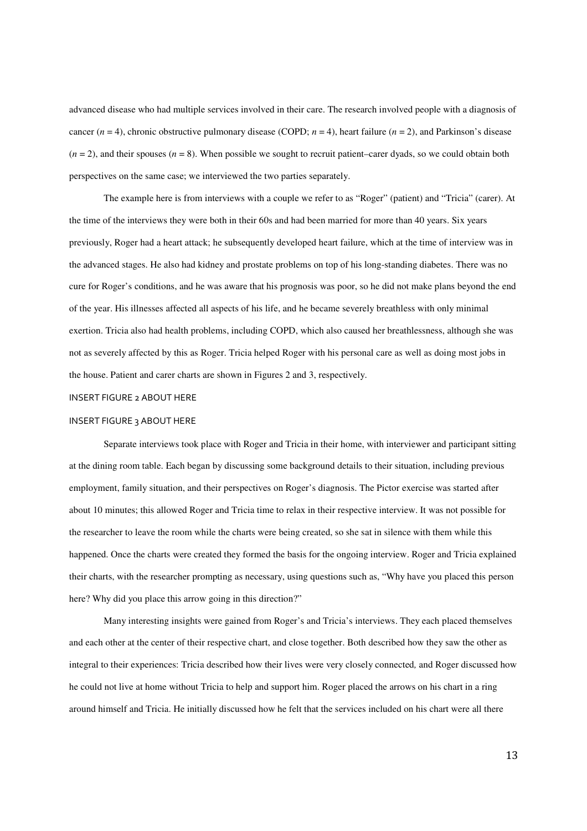advanced disease who had multiple services involved in their care. The research involved people with a diagnosis of cancer  $(n = 4)$ , chronic obstructive pulmonary disease (COPD;  $n = 4$ ), heart failure  $(n = 2)$ , and Parkinson's disease  $(n = 2)$ , and their spouses  $(n = 8)$ . When possible we sought to recruit patient–carer dyads, so we could obtain both perspectives on the same case; we interviewed the two parties separately.

The example here is from interviews with a couple we refer to as "Roger" (patient) and "Tricia" (carer). At the time of the interviews they were both in their 60s and had been married for more than 40 years. Six years previously, Roger had a heart attack; he subsequently developed heart failure, which at the time of interview was in the advanced stages. He also had kidney and prostate problems on top of his long-standing diabetes. There was no cure for Roger's conditions, and he was aware that his prognosis was poor, so he did not make plans beyond the end of the year. His illnesses affected all aspects of his life, and he became severely breathless with only minimal exertion. Tricia also had health problems, including COPD, which also caused her breathlessness, although she was not as severely affected by this as Roger. Tricia helped Roger with his personal care as well as doing most jobs in the house. Patient and carer charts are shown in Figures 2 and 3, respectively.

#### INSERT FIGURE 2 ABOUT HERE

#### INSERT FIGURE 3 ABOUT HERE

Separate interviews took place with Roger and Tricia in their home, with interviewer and participant sitting at the dining room table. Each began by discussing some background details to their situation, including previous employment, family situation, and their perspectives on Roger's diagnosis. The Pictor exercise was started after about 10 minutes; this allowed Roger and Tricia time to relax in their respective interview. It was not possible for the researcher to leave the room while the charts were being created, so she sat in silence with them while this happened. Once the charts were created they formed the basis for the ongoing interview. Roger and Tricia explained their charts, with the researcher prompting as necessary, using questions such as, "Why have you placed this person here? Why did you place this arrow going in this direction?"

Many interesting insights were gained from Roger's and Tricia's interviews. They each placed themselves and each other at the center of their respective chart, and close together. Both described how they saw the other as integral to their experiences: Tricia described how their lives were very closely connected*,* and Roger discussed how he could not live at home without Tricia to help and support him. Roger placed the arrows on his chart in a ring around himself and Tricia. He initially discussed how he felt that the services included on his chart were all there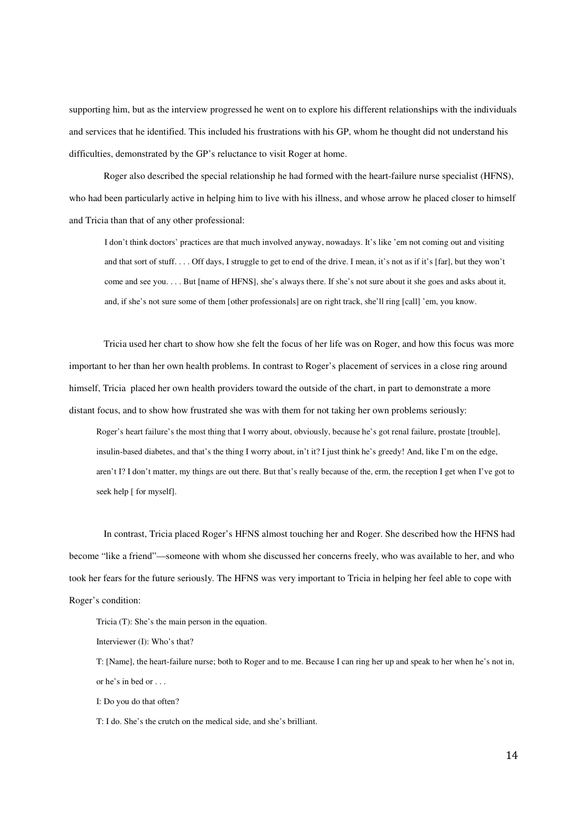supporting him, but as the interview progressed he went on to explore his different relationships with the individuals and services that he identified. This included his frustrations with his GP, whom he thought did not understand his difficulties, demonstrated by the GP's reluctance to visit Roger at home.

Roger also described the special relationship he had formed with the heart-failure nurse specialist (HFNS), who had been particularly active in helping him to live with his illness, and whose arrow he placed closer to himself and Tricia than that of any other professional:

I don't think doctors' practices are that much involved anyway, nowadays. It's like 'em not coming out and visiting and that sort of stuff. . . . Off days, I struggle to get to end of the drive. I mean, it's not as if it's [far], but they won't come and see you. . . . But [name of HFNS], she's always there. If she's not sure about it she goes and asks about it, and, if she's not sure some of them [other professionals] are on right track, she'll ring [call] 'em, you know.

Tricia used her chart to show how she felt the focus of her life was on Roger, and how this focus was more important to her than her own health problems. In contrast to Roger's placement of services in a close ring around himself, Tricia placed her own health providers toward the outside of the chart, in part to demonstrate a more distant focus, and to show how frustrated she was with them for not taking her own problems seriously:

Roger's heart failure's the most thing that I worry about, obviously, because he's got renal failure, prostate [trouble], insulin-based diabetes, and that's the thing I worry about, in't it? I just think he's greedy! And, like I'm on the edge, aren't I? I don't matter, my things are out there. But that's really because of the, erm, the reception I get when I've got to seek help [ for myself].

In contrast, Tricia placed Roger's HFNS almost touching her and Roger. She described how the HFNS had become "like a friend"—someone with whom she discussed her concerns freely, who was available to her, and who took her fears for the future seriously. The HFNS was very important to Tricia in helping her feel able to cope with Roger's condition:

Tricia (T): She's the main person in the equation.

Interviewer (I): Who's that?

T: [Name], the heart-failure nurse; both to Roger and to me. Because I can ring her up and speak to her when he's not in, or he's in bed or . . .

I: Do you do that often?

T: I do. She's the crutch on the medical side, and she's brilliant.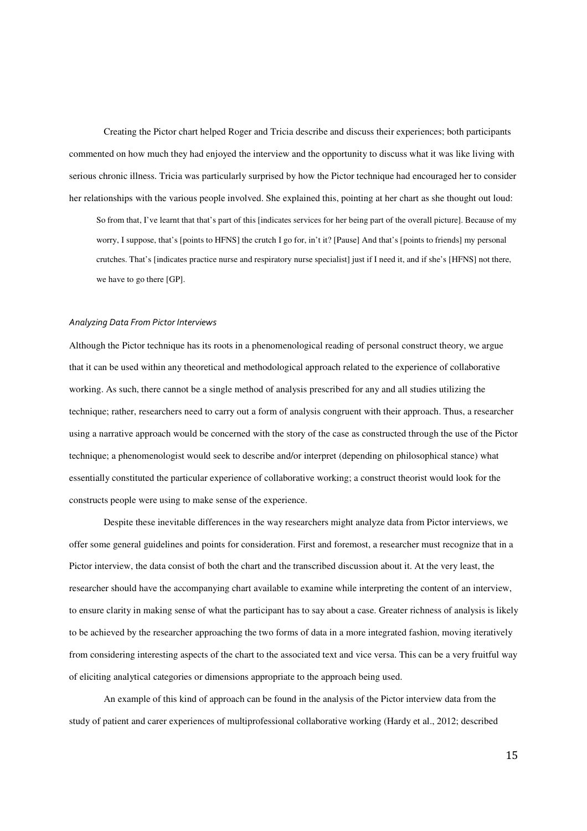Creating the Pictor chart helped Roger and Tricia describe and discuss their experiences; both participants commented on how much they had enjoyed the interview and the opportunity to discuss what it was like living with serious chronic illness. Tricia was particularly surprised by how the Pictor technique had encouraged her to consider her relationships with the various people involved. She explained this, pointing at her chart as she thought out loud:

So from that, I've learnt that that's part of this [indicates services for her being part of the overall picture]. Because of my worry, I suppose, that's [points to HFNS] the crutch I go for, in't it? [Pause] And that's [points to friends] my personal crutches. That's [indicates practice nurse and respiratory nurse specialist] just if I need it, and if she's [HFNS] not there, we have to go there [GP].

#### Analyzing Data From Pictor Interviews

Although the Pictor technique has its roots in a phenomenological reading of personal construct theory, we argue that it can be used within any theoretical and methodological approach related to the experience of collaborative working. As such, there cannot be a single method of analysis prescribed for any and all studies utilizing the technique; rather, researchers need to carry out a form of analysis congruent with their approach. Thus, a researcher using a narrative approach would be concerned with the story of the case as constructed through the use of the Pictor technique; a phenomenologist would seek to describe and/or interpret (depending on philosophical stance) what essentially constituted the particular experience of collaborative working; a construct theorist would look for the constructs people were using to make sense of the experience.

Despite these inevitable differences in the way researchers might analyze data from Pictor interviews, we offer some general guidelines and points for consideration. First and foremost, a researcher must recognize that in a Pictor interview, the data consist of both the chart and the transcribed discussion about it. At the very least, the researcher should have the accompanying chart available to examine while interpreting the content of an interview, to ensure clarity in making sense of what the participant has to say about a case. Greater richness of analysis is likely to be achieved by the researcher approaching the two forms of data in a more integrated fashion, moving iteratively from considering interesting aspects of the chart to the associated text and vice versa. This can be a very fruitful way of eliciting analytical categories or dimensions appropriate to the approach being used.

An example of this kind of approach can be found in the analysis of the Pictor interview data from the study of patient and carer experiences of multiprofessional collaborative working (Hardy et al., 2012; described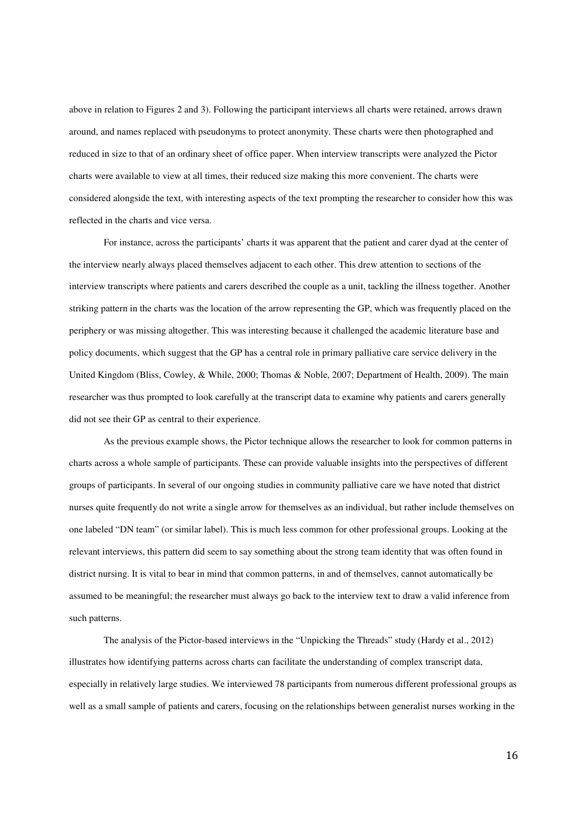above in relation to Figures 2 and 3). Following the participant interviews all charts were retained, arrows drawn around, and names replaced with pseudonyms to protect anonymity. These charts were then photographed and reduced in size to that of an ordinary sheet of office paper. When interview transcripts were analyzed the Pictor charts were available to view at all times, their reduced size making this more convenient. The charts were considered alongside the text, with interesting aspects of the text prompting the researcher to consider how this was reflected in the charts and vice versa.

For instance, across the participants' charts it was apparent that the patient and carer dyad at the center of the interview nearly always placed themselves adjacent to each other. This drew attention to sections of the interview transcripts where patients and carers described the couple as a unit, tackling the illness together. Another striking pattern in the charts was the location of the arrow representing the GP, which was frequently placed on the periphery or was missing altogether. This was interesting because it challenged the academic literature base and policy documents, which suggest that the GP has a central role in primary palliative care service delivery in the United Kingdom (Bliss, Cowley, & While, 2000; Thomas & Noble, 2007; Department of Health, 2009). The main researcher was thus prompted to look carefully at the transcript data to examine why patients and carers generally did not see their GP as central to their experience.

As the previous example shows, the Pictor technique allows the researcher to look for common patterns in charts across a whole sample of participants. These can provide valuable insights into the perspectives of different groups of participants. In several of our ongoing studies in community palliative care we have noted that district nurses quite frequently do not write a single arrow for themselves as an individual, but rather include themselves on one labeled "DN team" (or similar label). This is much less common for other professional groups. Looking at the relevant interviews, this pattern did seem to say something about the strong team identity that was often found in district nursing. It is vital to bear in mind that common patterns, in and of themselves, cannot automatically be assumed to be meaningful; the researcher must always go back to the interview text to draw a valid inference from such patterns.

The analysis of the Pictor-based interviews in the "Unpicking the Threads" study (Hardy et al., 2012) illustrates how identifying patterns across charts can facilitate the understanding of complex transcript data, especially in relatively large studies. We interviewed 78 participants from numerous different professional groups as well as a small sample of patients and carers, focusing on the relationships between generalist nurses working in the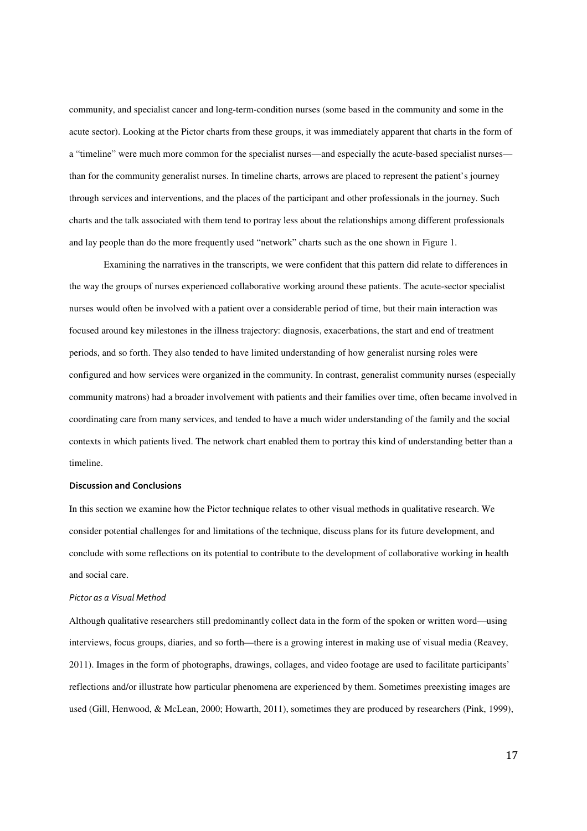community, and specialist cancer and long-term-condition nurses (some based in the community and some in the acute sector). Looking at the Pictor charts from these groups, it was immediately apparent that charts in the form of a "timeline" were much more common for the specialist nurses—and especially the acute-based specialist nurses than for the community generalist nurses. In timeline charts, arrows are placed to represent the patient's journey through services and interventions, and the places of the participant and other professionals in the journey. Such charts and the talk associated with them tend to portray less about the relationships among different professionals and lay people than do the more frequently used "network" charts such as the one shown in Figure 1.

Examining the narratives in the transcripts, we were confident that this pattern did relate to differences in the way the groups of nurses experienced collaborative working around these patients. The acute-sector specialist nurses would often be involved with a patient over a considerable period of time, but their main interaction was focused around key milestones in the illness trajectory: diagnosis, exacerbations, the start and end of treatment periods, and so forth. They also tended to have limited understanding of how generalist nursing roles were configured and how services were organized in the community. In contrast, generalist community nurses (especially community matrons) had a broader involvement with patients and their families over time, often became involved in coordinating care from many services, and tended to have a much wider understanding of the family and the social contexts in which patients lived. The network chart enabled them to portray this kind of understanding better than a timeline.

#### Discussion and Conclusions

In this section we examine how the Pictor technique relates to other visual methods in qualitative research. We consider potential challenges for and limitations of the technique, discuss plans for its future development, and conclude with some reflections on its potential to contribute to the development of collaborative working in health and social care.

#### Pictor as a Visual Method

Although qualitative researchers still predominantly collect data in the form of the spoken or written word—using interviews, focus groups, diaries, and so forth—there is a growing interest in making use of visual media (Reavey, 2011). Images in the form of photographs, drawings, collages, and video footage are used to facilitate participants' reflections and/or illustrate how particular phenomena are experienced by them. Sometimes preexisting images are used (Gill, Henwood, & McLean, 2000; Howarth, 2011), sometimes they are produced by researchers (Pink, 1999),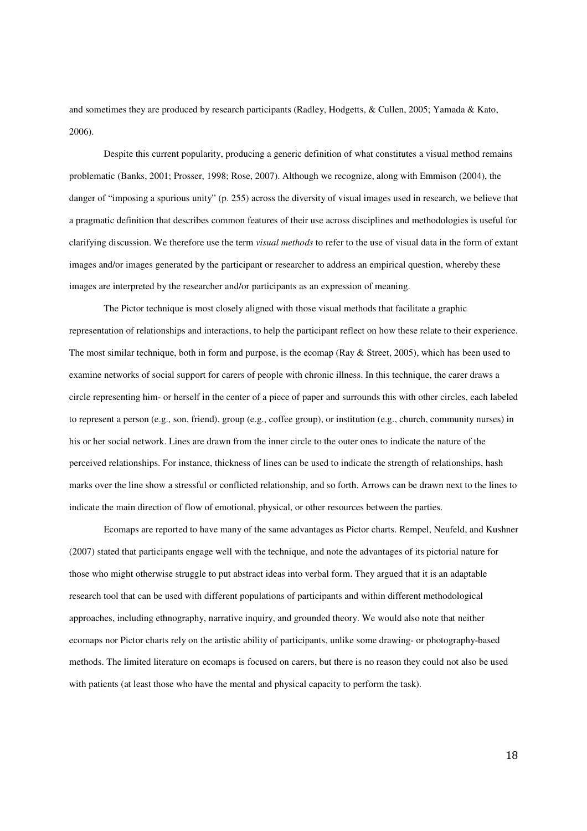and sometimes they are produced by research participants (Radley, Hodgetts, & Cullen, 2005; Yamada & Kato, 2006).

Despite this current popularity, producing a generic definition of what constitutes a visual method remains problematic (Banks, 2001; Prosser, 1998; Rose, 2007). Although we recognize, along with Emmison (2004), the danger of "imposing a spurious unity" (p. 255) across the diversity of visual images used in research, we believe that a pragmatic definition that describes common features of their use across disciplines and methodologies is useful for clarifying discussion. We therefore use the term *visual methods* to refer to the use of visual data in the form of extant images and/or images generated by the participant or researcher to address an empirical question, whereby these images are interpreted by the researcher and/or participants as an expression of meaning.

The Pictor technique is most closely aligned with those visual methods that facilitate a graphic representation of relationships and interactions, to help the participant reflect on how these relate to their experience. The most similar technique, both in form and purpose, is the ecomap (Ray & Street, 2005), which has been used to examine networks of social support for carers of people with chronic illness. In this technique, the carer draws a circle representing him- or herself in the center of a piece of paper and surrounds this with other circles, each labeled to represent a person (e.g., son, friend), group (e.g., coffee group), or institution (e.g., church, community nurses) in his or her social network. Lines are drawn from the inner circle to the outer ones to indicate the nature of the perceived relationships. For instance, thickness of lines can be used to indicate the strength of relationships, hash marks over the line show a stressful or conflicted relationship, and so forth. Arrows can be drawn next to the lines to indicate the main direction of flow of emotional, physical, or other resources between the parties.

Ecomaps are reported to have many of the same advantages as Pictor charts. Rempel, Neufeld, and Kushner (2007) stated that participants engage well with the technique, and note the advantages of its pictorial nature for those who might otherwise struggle to put abstract ideas into verbal form. They argued that it is an adaptable research tool that can be used with different populations of participants and within different methodological approaches, including ethnography, narrative inquiry, and grounded theory. We would also note that neither ecomaps nor Pictor charts rely on the artistic ability of participants, unlike some drawing- or photography-based methods. The limited literature on ecomaps is focused on carers, but there is no reason they could not also be used with patients (at least those who have the mental and physical capacity to perform the task).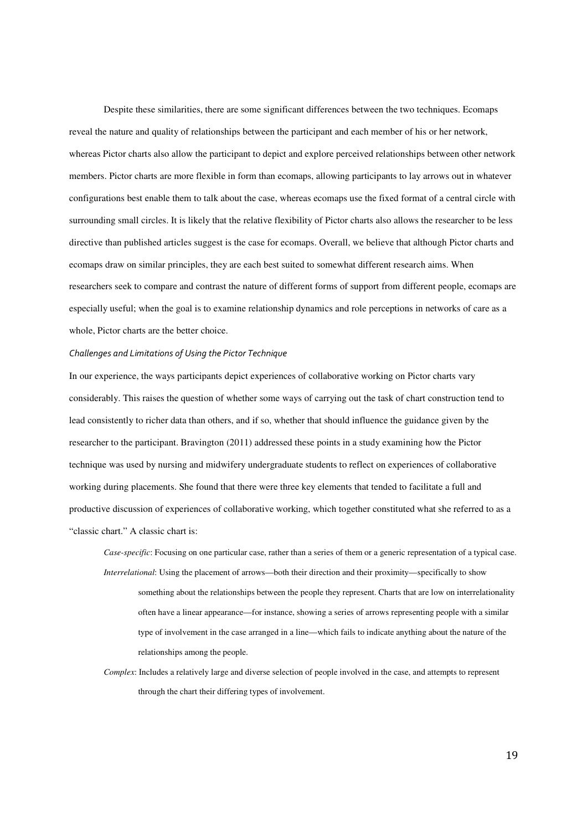Despite these similarities, there are some significant differences between the two techniques. Ecomaps reveal the nature and quality of relationships between the participant and each member of his or her network, whereas Pictor charts also allow the participant to depict and explore perceived relationships between other network members. Pictor charts are more flexible in form than ecomaps, allowing participants to lay arrows out in whatever configurations best enable them to talk about the case, whereas ecomaps use the fixed format of a central circle with surrounding small circles. It is likely that the relative flexibility of Pictor charts also allows the researcher to be less directive than published articles suggest is the case for ecomaps. Overall, we believe that although Pictor charts and ecomaps draw on similar principles, they are each best suited to somewhat different research aims. When researchers seek to compare and contrast the nature of different forms of support from different people, ecomaps are especially useful; when the goal is to examine relationship dynamics and role perceptions in networks of care as a whole, Pictor charts are the better choice.

#### Challenges and Limitations of Using the Pictor Technique

In our experience, the ways participants depict experiences of collaborative working on Pictor charts vary considerably. This raises the question of whether some ways of carrying out the task of chart construction tend to lead consistently to richer data than others, and if so, whether that should influence the guidance given by the researcher to the participant. Bravington (2011) addressed these points in a study examining how the Pictor technique was used by nursing and midwifery undergraduate students to reflect on experiences of collaborative working during placements. She found that there were three key elements that tended to facilitate a full and productive discussion of experiences of collaborative working, which together constituted what she referred to as a "classic chart." A classic chart is:

- *Case-specific*: Focusing on one particular case, rather than a series of them or a generic representation of a typical case. *Interrelational*: Using the placement of arrows—both their direction and their proximity—specifically to show something about the relationships between the people they represent. Charts that are low on interrelationality often have a linear appearance—for instance, showing a series of arrows representing people with a similar type of involvement in the case arranged in a line—which fails to indicate anything about the nature of the relationships among the people.
- *Complex*: Includes a relatively large and diverse selection of people involved in the case, and attempts to represent through the chart their differing types of involvement.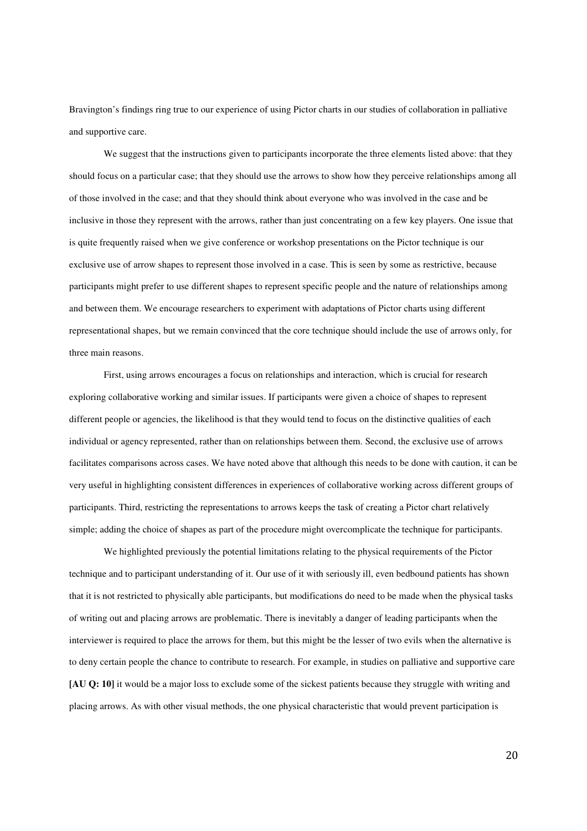Bravington's findings ring true to our experience of using Pictor charts in our studies of collaboration in palliative and supportive care.

We suggest that the instructions given to participants incorporate the three elements listed above: that they should focus on a particular case; that they should use the arrows to show how they perceive relationships among all of those involved in the case; and that they should think about everyone who was involved in the case and be inclusive in those they represent with the arrows, rather than just concentrating on a few key players. One issue that is quite frequently raised when we give conference or workshop presentations on the Pictor technique is our exclusive use of arrow shapes to represent those involved in a case. This is seen by some as restrictive, because participants might prefer to use different shapes to represent specific people and the nature of relationships among and between them. We encourage researchers to experiment with adaptations of Pictor charts using different representational shapes, but we remain convinced that the core technique should include the use of arrows only, for three main reasons.

First, using arrows encourages a focus on relationships and interaction, which is crucial for research exploring collaborative working and similar issues. If participants were given a choice of shapes to represent different people or agencies, the likelihood is that they would tend to focus on the distinctive qualities of each individual or agency represented, rather than on relationships between them. Second, the exclusive use of arrows facilitates comparisons across cases. We have noted above that although this needs to be done with caution, it can be very useful in highlighting consistent differences in experiences of collaborative working across different groups of participants. Third, restricting the representations to arrows keeps the task of creating a Pictor chart relatively simple; adding the choice of shapes as part of the procedure might overcomplicate the technique for participants.

We highlighted previously the potential limitations relating to the physical requirements of the Pictor technique and to participant understanding of it. Our use of it with seriously ill, even bedbound patients has shown that it is not restricted to physically able participants, but modifications do need to be made when the physical tasks of writing out and placing arrows are problematic. There is inevitably a danger of leading participants when the interviewer is required to place the arrows for them, but this might be the lesser of two evils when the alternative is to deny certain people the chance to contribute to research. For example, in studies on palliative and supportive care **[AU Q: 10]** it would be a major loss to exclude some of the sickest patients because they struggle with writing and placing arrows. As with other visual methods, the one physical characteristic that would prevent participation is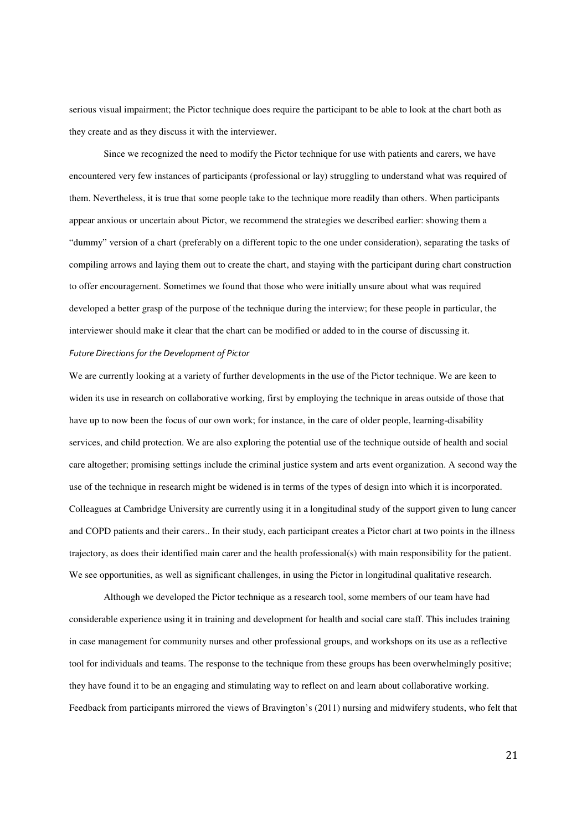serious visual impairment; the Pictor technique does require the participant to be able to look at the chart both as they create and as they discuss it with the interviewer.

Since we recognized the need to modify the Pictor technique for use with patients and carers, we have encountered very few instances of participants (professional or lay) struggling to understand what was required of them. Nevertheless, it is true that some people take to the technique more readily than others. When participants appear anxious or uncertain about Pictor, we recommend the strategies we described earlier: showing them a "dummy" version of a chart (preferably on a different topic to the one under consideration), separating the tasks of compiling arrows and laying them out to create the chart, and staying with the participant during chart construction to offer encouragement. Sometimes we found that those who were initially unsure about what was required developed a better grasp of the purpose of the technique during the interview; for these people in particular, the interviewer should make it clear that the chart can be modified or added to in the course of discussing it.

#### Future Directions for the Development of Pictor

We are currently looking at a variety of further developments in the use of the Pictor technique. We are keen to widen its use in research on collaborative working, first by employing the technique in areas outside of those that have up to now been the focus of our own work; for instance, in the care of older people, learning-disability services, and child protection. We are also exploring the potential use of the technique outside of health and social care altogether; promising settings include the criminal justice system and arts event organization. A second way the use of the technique in research might be widened is in terms of the types of design into which it is incorporated. Colleagues at Cambridge University are currently using it in a longitudinal study of the support given to lung cancer and COPD patients and their carers.. In their study, each participant creates a Pictor chart at two points in the illness trajectory, as does their identified main carer and the health professional(s) with main responsibility for the patient. We see opportunities, as well as significant challenges, in using the Pictor in longitudinal qualitative research.

Although we developed the Pictor technique as a research tool, some members of our team have had considerable experience using it in training and development for health and social care staff. This includes training in case management for community nurses and other professional groups, and workshops on its use as a reflective tool for individuals and teams. The response to the technique from these groups has been overwhelmingly positive; they have found it to be an engaging and stimulating way to reflect on and learn about collaborative working. Feedback from participants mirrored the views of Bravington's (2011) nursing and midwifery students, who felt that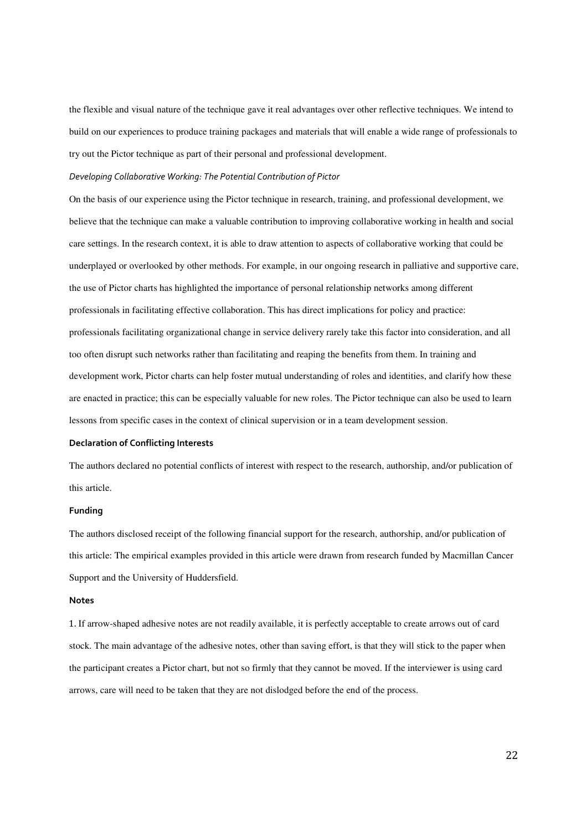the flexible and visual nature of the technique gave it real advantages over other reflective techniques. We intend to build on our experiences to produce training packages and materials that will enable a wide range of professionals to try out the Pictor technique as part of their personal and professional development.

#### Developing Collaborative Working: The Potential Contribution of Pictor

On the basis of our experience using the Pictor technique in research, training, and professional development, we believe that the technique can make a valuable contribution to improving collaborative working in health and social care settings. In the research context, it is able to draw attention to aspects of collaborative working that could be underplayed or overlooked by other methods. For example, in our ongoing research in palliative and supportive care, the use of Pictor charts has highlighted the importance of personal relationship networks among different professionals in facilitating effective collaboration. This has direct implications for policy and practice: professionals facilitating organizational change in service delivery rarely take this factor into consideration, and all too often disrupt such networks rather than facilitating and reaping the benefits from them. In training and development work, Pictor charts can help foster mutual understanding of roles and identities, and clarify how these are enacted in practice; this can be especially valuable for new roles. The Pictor technique can also be used to learn lessons from specific cases in the context of clinical supervision or in a team development session.

#### Declaration of Conflicting Interests

The authors declared no potential conflicts of interest with respect to the research, authorship, and/or publication of this article.

#### Funding

The authors disclosed receipt of the following financial support for the research, authorship, and/or publication of this article: The empirical examples provided in this article were drawn from research funded by Macmillan Cancer Support and the University of Huddersfield.

#### Notes

1. If arrow-shaped adhesive notes are not readily available, it is perfectly acceptable to create arrows out of card stock. The main advantage of the adhesive notes, other than saving effort, is that they will stick to the paper when the participant creates a Pictor chart, but not so firmly that they cannot be moved. If the interviewer is using card arrows, care will need to be taken that they are not dislodged before the end of the process.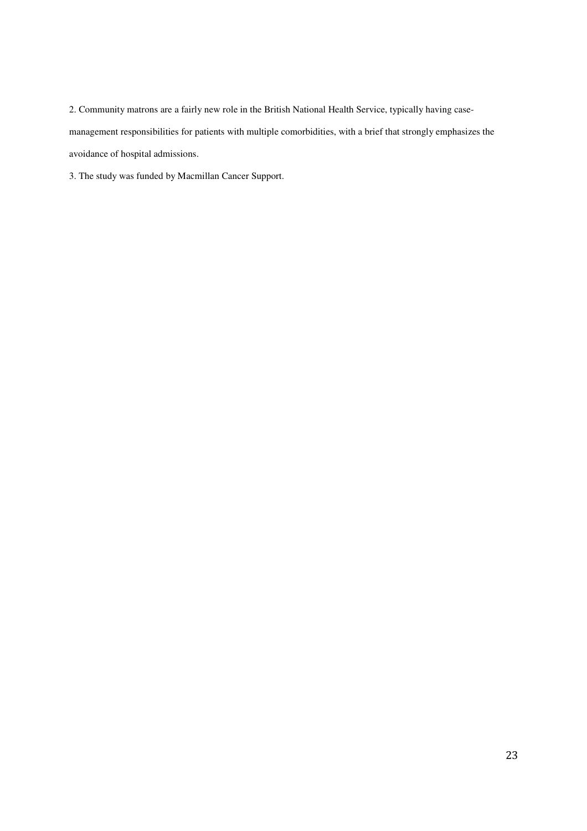2. Community matrons are a fairly new role in the British National Health Service, typically having casemanagement responsibilities for patients with multiple comorbidities, with a brief that strongly emphasizes the avoidance of hospital admissions.

3. The study was funded by Macmillan Cancer Support.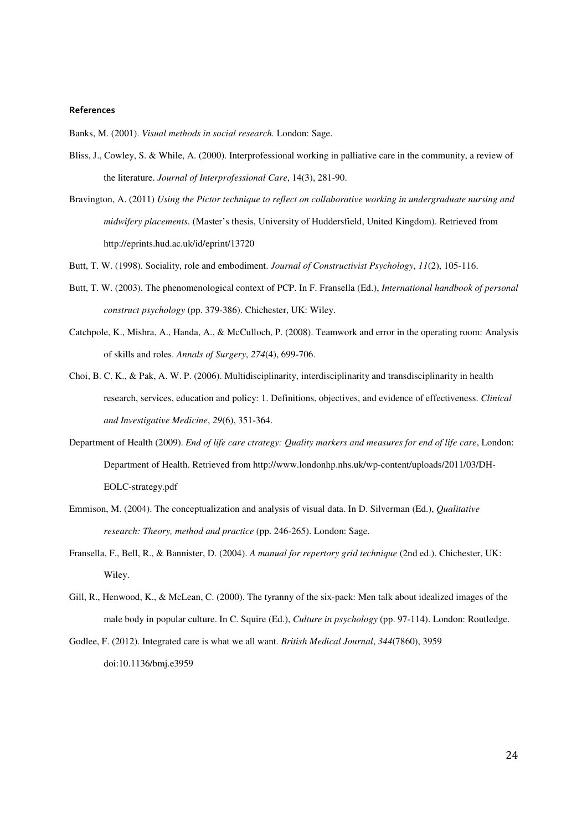#### References

Banks, M. (2001). *Visual methods in social research.* London: Sage.

- Bliss, J., Cowley, S. & While, A. (2000). Interprofessional working in palliative care in the community, a review of the literature. *Journal of Interprofessional Care*, 14(3), 281-90.
- Bravington, A. (2011) *Using the Pictor technique to reflect on collaborative working in undergraduate nursing and midwifery placements.* (Master's thesis, University of Huddersfield, United Kingdom). Retrieved from http://eprints.hud.ac.uk/id/eprint/13720
- Butt, T. W. (1998). Sociality, role and embodiment. *Journal of Constructivist Psychology*, *11*(2), 105-116.
- Butt, T. W. (2003). The phenomenological context of PCP. In F. Fransella (Ed.), *International handbook of personal construct psychology* (pp. 379-386). Chichester, UK: Wiley.
- Catchpole, K., Mishra, A., Handa, A., & McCulloch, P. (2008). Teamwork and error in the operating room: Analysis of skills and roles. *Annals of Surgery*, *274*(4), 699-706.
- Choi, B. C. K., & Pak, A. W. P. (2006). Multidisciplinarity, interdisciplinarity and transdisciplinarity in health research, services, education and policy: 1. Definitions, objectives, and evidence of effectiveness. *Clinical and Investigative Medicine*, *29*(6), 351-364.
- Department of Health (2009). *End of life care ctrategy: Quality markers and measures for end of life care*, London: Department of Health. Retrieved from http://www.londonhp.nhs.uk/wp-content/uploads/2011/03/DH-EOLC-strategy.pdf
- Emmison, M. (2004). The conceptualization and analysis of visual data. In D. Silverman (Ed.), *Qualitative research: Theory, method and practice* (pp. 246-265). London: Sage.
- Fransella, F., Bell, R., & Bannister, D. (2004). *A manual for repertory grid technique* (2nd ed.). Chichester, UK: Wiley.
- Gill, R., Henwood, K., & McLean, C. (2000). The tyranny of the six-pack: Men talk about idealized images of the male body in popular culture. In C. Squire (Ed.), *Culture in psychology* (pp. 97-114). London: Routledge.

Godlee, F. (2012). Integrated care is what we all want. *British Medical Journal*, *344*(7860), 3959 doi:10.1136/bmj.e3959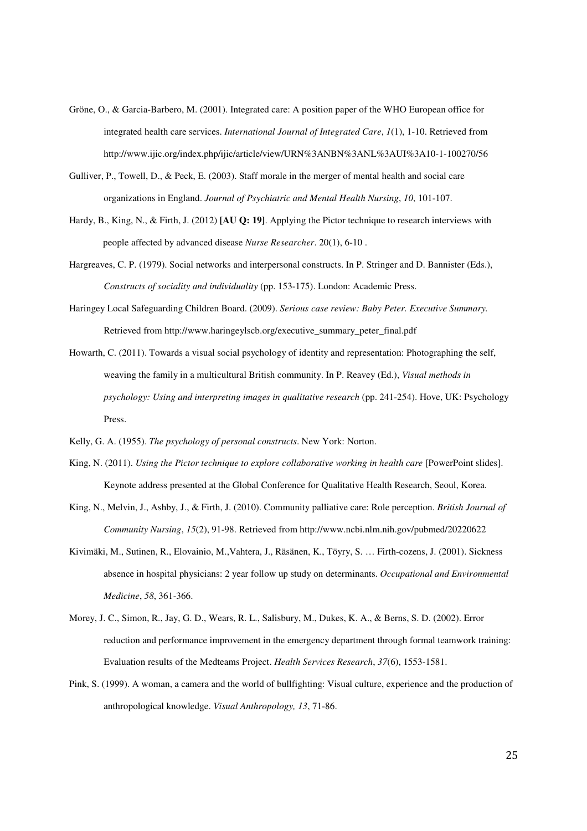- Gröne, O., & Garcia-Barbero, M. (2001). Integrated care: A position paper of the WHO European office for integrated health care services. *International Journal of Integrated Care*, *1*(1), 1-10. Retrieved from http://www.ijic.org/index.php/ijic/article/view/URN%3ANBN%3ANL%3AUI%3A10-1-100270/56
- Gulliver, P., Towell, D., & Peck, E. (2003). Staff morale in the merger of mental health and social care organizations in England. *Journal of Psychiatric and Mental Health Nursing*, *10*, 101-107.
- Hardy, B., King, N., & Firth, J. (2012) **[AU Q: 19]**. Applying the Pictor technique to research interviews with people affected by advanced disease *Nurse Researcher*. 20(1), 6-10 .
- Hargreaves, C. P. (1979). Social networks and interpersonal constructs. In P. Stringer and D. Bannister (Eds.), *Constructs of sociality and individuality* (pp. 153-175). London: Academic Press.
- Haringey Local Safeguarding Children Board. (2009). *Serious case review: Baby Peter. Executive Summary.* Retrieved from http://www.haringeylscb.org/executive\_summary\_peter\_final.pdf
- Howarth, C. (2011). Towards a visual social psychology of identity and representation: Photographing the self, weaving the family in a multicultural British community. In P. Reavey (Ed.), *Visual methods in psychology: Using and interpreting images in qualitative research* (pp. 241-254). Hove, UK: Psychology Press.
- Kelly, G. A. (1955). *The psychology of personal constructs*. New York: Norton.
- King, N. (2011). *Using the Pictor technique to explore collaborative working in health care* [PowerPoint slides]. Keynote address presented at the Global Conference for Qualitative Health Research, Seoul, Korea.
- King, N., Melvin, J., Ashby, J., & Firth, J. (2010). Community palliative care: Role perception. *British Journal of Community Nursing*, *15*(2), 91-98. Retrieved from http://www.ncbi.nlm.nih.gov/pubmed/20220622
- Kivimäki, M., Sutinen, R., Elovainio, M.,Vahtera, J., Räsänen, K., Töyry, S. … Firth-cozens, J. (2001). Sickness absence in hospital physicians: 2 year follow up study on determinants. *Occupational and Environmental Medicine*, *58*, 361-366.
- Morey, J. C., Simon, R., Jay, G. D., Wears, R. L., Salisbury, M., Dukes, K. A., & Berns, S. D. (2002). Error reduction and performance improvement in the emergency department through formal teamwork training: Evaluation results of the Medteams Project. *Health Services Research*, *37*(6), 1553-1581.
- Pink, S. (1999). A woman, a camera and the world of bullfighting: Visual culture, experience and the production of anthropological knowledge. *Visual Anthropology, 13*, 71-86.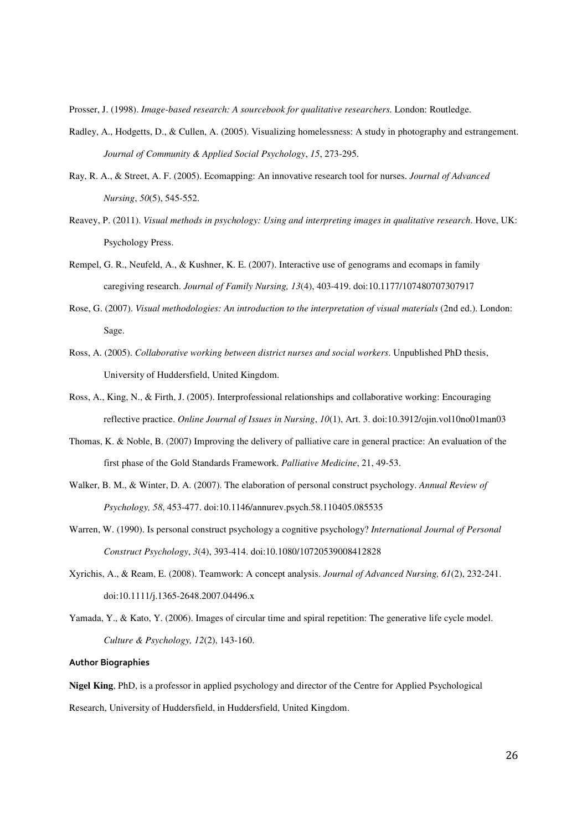Prosser, J. (1998). *Image-based research: A sourcebook for qualitative researchers.* London: Routledge.

- Radley, A., Hodgetts, D., & Cullen, A. (2005). Visualizing homelessness: A study in photography and estrangement. *Journal of Community & Applied Social Psychology*, *15*, 273-295.
- Ray, R. A., & Street, A. F. (2005). Ecomapping: An innovative research tool for nurses. *Journal of Advanced Nursing*, *50*(5), 545-552.
- Reavey, P. (2011). *Visual methods in psychology: Using and interpreting images in qualitative research*. Hove, UK: Psychology Press.
- Rempel, G. R., Neufeld, A., & Kushner, K. E. (2007). Interactive use of genograms and ecomaps in family caregiving research. *Journal of Family Nursing, 13*(4), 403-419. doi:10.1177/107480707307917
- Rose, G. (2007). *Visual methodologies: An introduction to the interpretation of visual materials* (2nd ed.). London: Sage.
- Ross, A. (2005). *Collaborative working between district nurses and social workers*. Unpublished PhD thesis, University of Huddersfield, United Kingdom.
- Ross, A., King, N., & Firth, J. (2005). Interprofessional relationships and collaborative working: Encouraging reflective practice. *Online Journal of Issues in Nursing*, *10*(1), Art. 3. doi:10.3912/ojin.vol10no01man03
- Thomas, K. & Noble, B. (2007) Improving the delivery of palliative care in general practice: An evaluation of the first phase of the Gold Standards Framework. *Palliative Medicine*, 21, 49-53.
- Walker, B. M., & Winter, D. A. (2007). The elaboration of personal construct psychology. *Annual Review of Psychology, 58*, 453-477. doi:10.1146/annurev.psych.58.110405.085535
- Warren, W. (1990). Is personal construct psychology a cognitive psychology? *International Journal of Personal Construct Psychology*, *3*(4), 393-414. doi:10.1080/10720539008412828
- Xyrichis, A., & Ream, E. (2008). Teamwork: A concept analysis. *Journal of Advanced Nursing, 61*(2), 232-241. doi:10.1111/j.1365-2648.2007.04496.x
- Yamada, Y., & Kato, Y. (2006). Images of circular time and spiral repetition: The generative life cycle model. *Culture & Psychology, 12*(2), 143-160.

#### Author Biographies

**Nigel King**, PhD, is a professor in applied psychology and director of the Centre for Applied Psychological Research, University of Huddersfield, in Huddersfield, United Kingdom.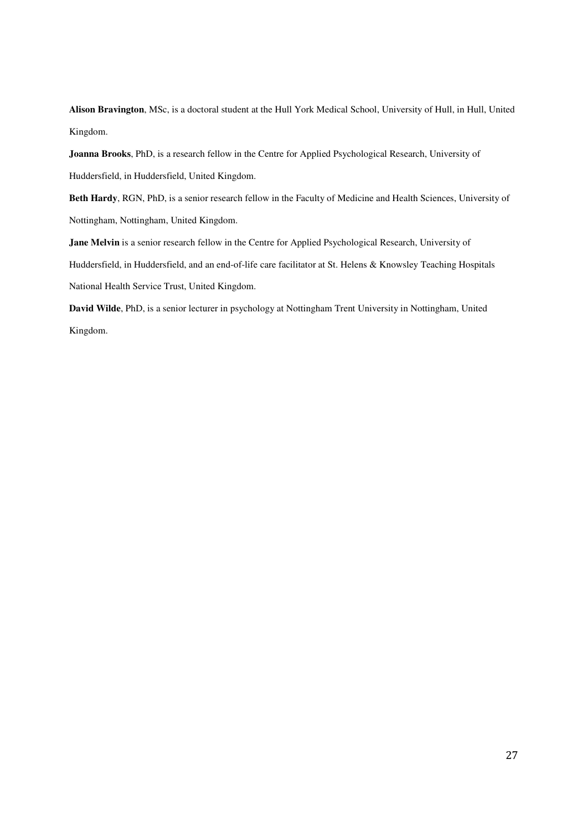**Alison Bravington**, MSc, is a doctoral student at the Hull York Medical School, University of Hull, in Hull, United Kingdom.

**Joanna Brooks**, PhD, is a research fellow in the Centre for Applied Psychological Research, University of Huddersfield, in Huddersfield, United Kingdom.

**Beth Hardy**, RGN, PhD, is a senior research fellow in the Faculty of Medicine and Health Sciences, University of Nottingham, Nottingham, United Kingdom.

**Jane Melvin** is a senior research fellow in the Centre for Applied Psychological Research, University of Huddersfield, in Huddersfield, and an end-of-life care facilitator at St. Helens & Knowsley Teaching Hospitals National Health Service Trust, United Kingdom.

**David Wilde**, PhD, is a senior lecturer in psychology at Nottingham Trent University in Nottingham, United Kingdom.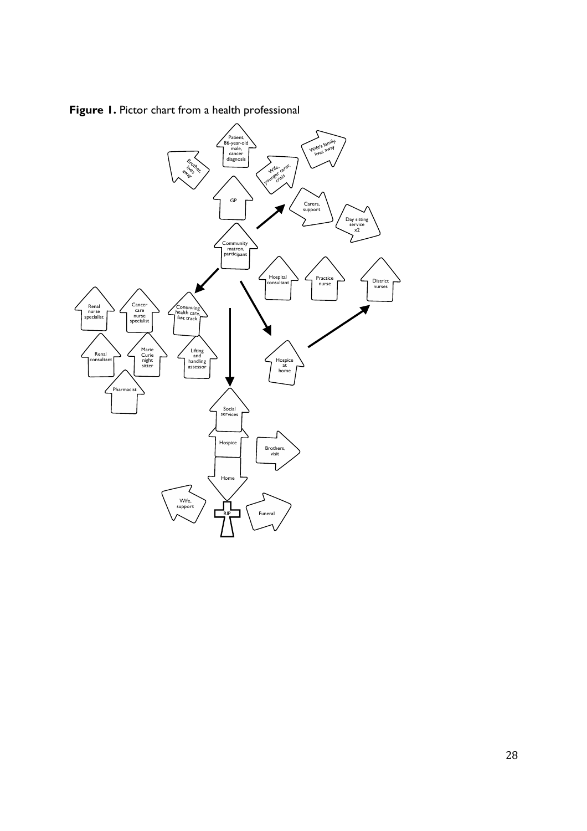

Figure 1. Pictor chart from a health professional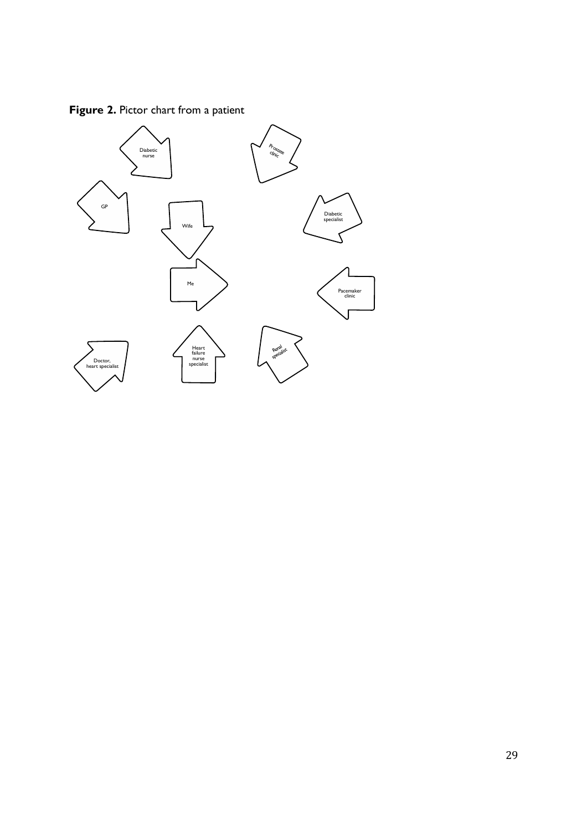